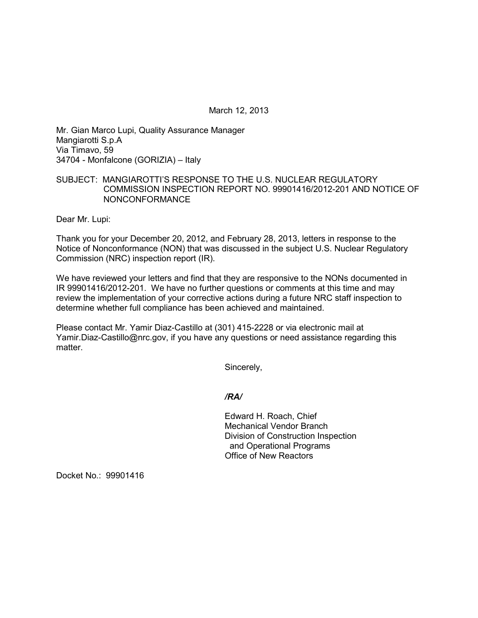March 12, 2013

Mr. Gian Marco Lupi, Quality Assurance Manager Mangiarotti S.p.A Via Timavo, 59 34704 - Monfalcone (GORIZIA) – Italy

# SUBJECT: MANGIAROTTI'S RESPONSE TO THE U.S. NUCLEAR REGULATORY COMMISSION INSPECTION REPORT NO. 99901416/2012-201 AND NOTICE OF NONCONFORMANCE

Dear Mr. Lupi:

Thank you for your December 20, 2012, and February 28, 2013, letters in response to the Notice of Nonconformance (NON) that was discussed in the subject U.S. Nuclear Regulatory Commission (NRC) inspection report (IR).

We have reviewed your letters and find that they are responsive to the NONs documented in IR 99901416/2012-201. We have no further questions or comments at this time and may review the implementation of your corrective actions during a future NRC staff inspection to determine whether full compliance has been achieved and maintained.

Please contact Mr. Yamir Diaz-Castillo at (301) 415-2228 or via electronic mail at Yamir.Diaz-Castillo@nrc.gov, if you have any questions or need assistance regarding this matter.

Sincerely,

### */RA/*

Edward H. Roach, Chief Mechanical Vendor Branch Division of Construction Inspection and Operational Programs Office of New Reactors

Docket No.: 99901416